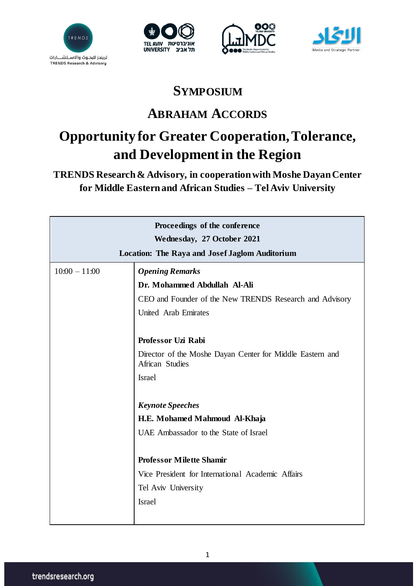







## **SYMPOSIUM**

## **ABRAHAM ACCORDS**

## **Opportunity for Greater Cooperation, Tolerance, and Development in the Region**

**TRENDS Research & Advisory, in cooperation with Moshe Dayan Center for Middle Eastern and African Studies – Tel Aviv University**

| Proceedings of the conference<br>Wednesday, 27 October 2021 |                                                                              |  |
|-------------------------------------------------------------|------------------------------------------------------------------------------|--|
|                                                             |                                                                              |  |
| $10:00 - 11:00$                                             | <b>Opening Remarks</b>                                                       |  |
|                                                             | Dr. Mohammed Abdullah Al-Ali                                                 |  |
|                                                             | CEO and Founder of the New TRENDS Research and Advisory                      |  |
|                                                             | United Arab Emirates                                                         |  |
|                                                             | Professor Uzi Rabi                                                           |  |
|                                                             | Director of the Moshe Dayan Center for Middle Eastern and<br>African Studies |  |
|                                                             | <b>Israel</b>                                                                |  |
|                                                             |                                                                              |  |
|                                                             | <b>Keynote Speeches</b>                                                      |  |
|                                                             | H.E. Mohamed Mahmoud Al-Khaja                                                |  |
|                                                             | UAE Ambassador to the State of Israel                                        |  |
|                                                             |                                                                              |  |
|                                                             | <b>Professor Milette Shamir</b>                                              |  |
|                                                             | Vice President for International Academic Affairs                            |  |
|                                                             | Tel Aviv University                                                          |  |
|                                                             | <b>Israel</b>                                                                |  |
|                                                             |                                                                              |  |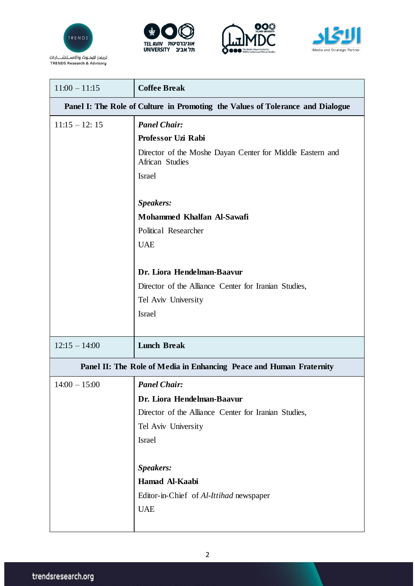







| $11:00 - 11:15$                                                                | <b>Coffee Break</b>                                                          |  |  |
|--------------------------------------------------------------------------------|------------------------------------------------------------------------------|--|--|
| Panel I: The Role of Culture in Promoting the Values of Tolerance and Dialogue |                                                                              |  |  |
| $11:15 - 12:15$                                                                | <b>Panel Chair:</b>                                                          |  |  |
|                                                                                | Professor Uzi Rabi                                                           |  |  |
|                                                                                | Director of the Moshe Dayan Center for Middle Eastern and<br>African Studies |  |  |
|                                                                                | <b>Israel</b>                                                                |  |  |
|                                                                                | Speakers:                                                                    |  |  |
|                                                                                | Mohammed Khalfan Al-Sawafi                                                   |  |  |
|                                                                                | Political Researcher                                                         |  |  |
|                                                                                | <b>UAE</b>                                                                   |  |  |
|                                                                                |                                                                              |  |  |
|                                                                                | Dr. Liora Hendelman-Baavur                                                   |  |  |
|                                                                                | Director of the Alliance Center for Iranian Studies,                         |  |  |
|                                                                                | Tel Aviv University                                                          |  |  |
|                                                                                | <b>Israel</b>                                                                |  |  |
|                                                                                |                                                                              |  |  |
| $12:15 - 14:00$                                                                | <b>Lunch Break</b>                                                           |  |  |
| Panel II: The Role of Media in Enhancing Peace and Human Fraternity            |                                                                              |  |  |
| $14:00 - 15:00$                                                                | <b>Panel Chair:</b>                                                          |  |  |
|                                                                                | Dr. Liora Hendelman-Baavur                                                   |  |  |
|                                                                                | Director of the Alliance Center for Iranian Studies,                         |  |  |
|                                                                                | Tel Aviv University                                                          |  |  |
|                                                                                | Israel                                                                       |  |  |
|                                                                                |                                                                              |  |  |
|                                                                                | Speakers:                                                                    |  |  |
|                                                                                | Hamad Al-Kaabi                                                               |  |  |
|                                                                                | Editor-in-Chief of Al-Ittihad newspaper                                      |  |  |
|                                                                                | <b>UAE</b>                                                                   |  |  |
|                                                                                |                                                                              |  |  |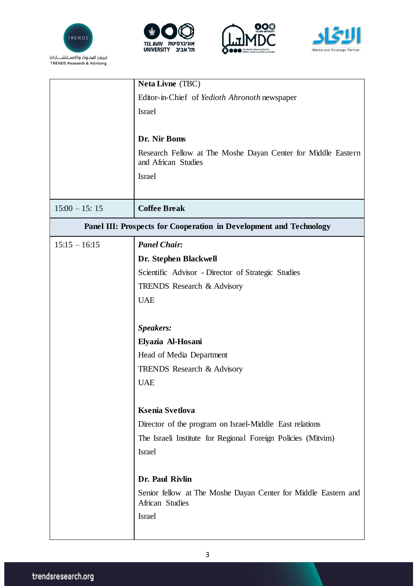







|                                                                    | <b>Neta Livne</b> (TBC)                                                             |  |
|--------------------------------------------------------------------|-------------------------------------------------------------------------------------|--|
|                                                                    | Editor-in-Chief of Yedioth Ahronoth newspaper                                       |  |
|                                                                    | <b>Israel</b>                                                                       |  |
|                                                                    |                                                                                     |  |
|                                                                    | Dr. Nir Boms                                                                        |  |
|                                                                    | Research Fellow at The Moshe Dayan Center for Middle Eastern<br>and African Studies |  |
|                                                                    | <b>Israel</b>                                                                       |  |
|                                                                    |                                                                                     |  |
| $15:00 - 15:15$                                                    | <b>Coffee Break</b>                                                                 |  |
| Panel III: Prospects for Cooperation in Development and Technology |                                                                                     |  |
| $15:15 - 16:15$                                                    | <b>Panel Chair:</b>                                                                 |  |
|                                                                    | Dr. Stephen Blackwell                                                               |  |
|                                                                    | Scientific Advisor - Director of Strategic Studies                                  |  |
|                                                                    | <b>TRENDS</b> Research & Advisory                                                   |  |
|                                                                    | <b>UAE</b>                                                                          |  |
|                                                                    |                                                                                     |  |
|                                                                    | Speakers:                                                                           |  |
|                                                                    | Elyazia Al-Hosani                                                                   |  |
|                                                                    | Head of Media Department                                                            |  |
|                                                                    | <b>TRENDS</b> Research & Advisory                                                   |  |
|                                                                    | <b>UAE</b>                                                                          |  |
|                                                                    |                                                                                     |  |
|                                                                    | <b>Ksenia Svetlova</b>                                                              |  |
|                                                                    | Director of the program on Israel-Middle East relations                             |  |
|                                                                    | The Israeli Institute for Regional Foreign Policies (Mitvim)                        |  |
|                                                                    | <b>Israel</b>                                                                       |  |
|                                                                    |                                                                                     |  |
|                                                                    | Dr. Paul Rivlin                                                                     |  |
|                                                                    | Senior fellow at The Moshe Dayan Center for Middle Eastern and<br>African Studies   |  |
|                                                                    | Israel                                                                              |  |
|                                                                    |                                                                                     |  |